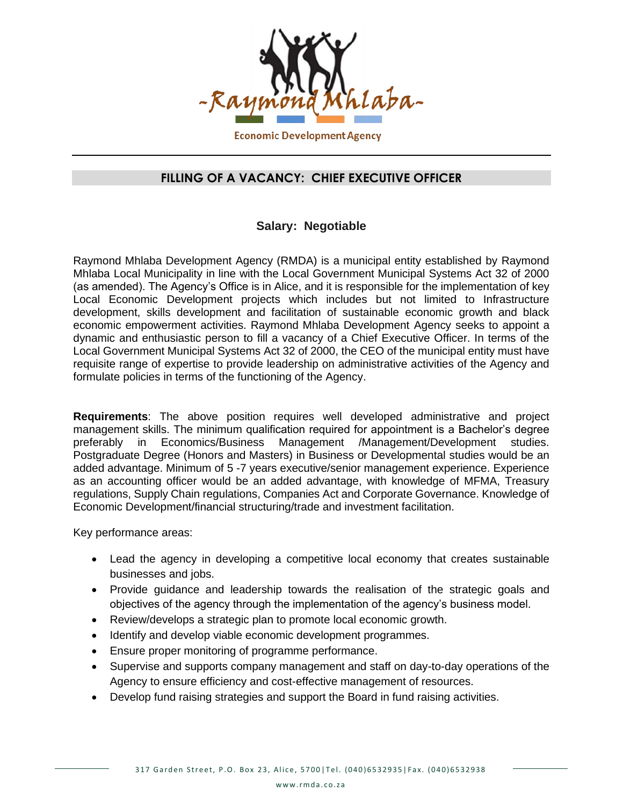

## **FILLING OF A VACANCY: CHIEF EXECUTIVE OFFICER**

## **Salary: Negotiable**

Raymond Mhlaba Development Agency (RMDA) is a municipal entity established by Raymond Mhlaba Local Municipality in line with the Local Government Municipal Systems Act 32 of 2000 (as amended). The Agency's Office is in Alice, and it is responsible for the implementation of key Local Economic Development projects which includes but not limited to Infrastructure development, skills development and facilitation of sustainable economic growth and black economic empowerment activities. Raymond Mhlaba Development Agency seeks to appoint a dynamic and enthusiastic person to fill a vacancy of a Chief Executive Officer. In terms of the Local Government Municipal Systems Act 32 of 2000, the CEO of the municipal entity must have requisite range of expertise to provide leadership on administrative activities of the Agency and formulate policies in terms of the functioning of the Agency.

**Requirements**: The above position requires well developed administrative and project management skills. The minimum qualification required for appointment is a Bachelor's degree preferably in Economics/Business Management /Management/Development studies. Postgraduate Degree (Honors and Masters) in Business or Developmental studies would be an added advantage. Minimum of 5 -7 years executive/senior management experience. Experience as an accounting officer would be an added advantage, with knowledge of MFMA, Treasury regulations, Supply Chain regulations, Companies Act and Corporate Governance. Knowledge of Economic Development/financial structuring/trade and investment facilitation.

Key performance areas:

- Lead the agency in developing a competitive local economy that creates sustainable businesses and jobs.
- Provide guidance and leadership towards the realisation of the strategic goals and objectives of the agency through the implementation of the agency's business model.
- Review/develops a strategic plan to promote local economic growth.
- Identify and develop viable economic development programmes.
- Ensure proper monitoring of programme performance.
- Supervise and supports company management and staff on day-to-day operations of the Agency to ensure efficiency and cost-effective management of resources.
- Develop fund raising strategies and support the Board in fund raising activities.